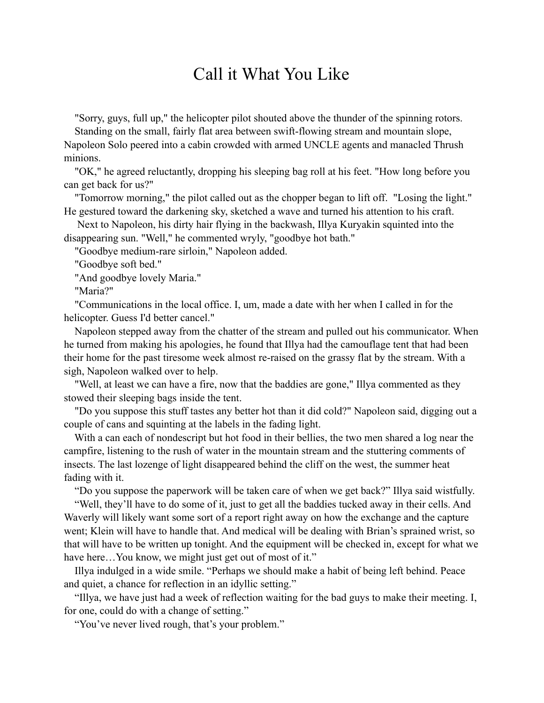## Call it What You Like

"Sorry, guys, full up," the helicopter pilot shouted above the thunder of the spinning rotors.

 Standing on the small, fairly flat area between swift-flowing stream and mountain slope, Napoleon Solo peered into a cabin crowded with armed UNCLE agents and manacled Thrush minions.

 "OK," he agreed reluctantly, dropping his sleeping bag roll at his feet. "How long before you can get back for us?"

 "Tomorrow morning," the pilot called out as the chopper began to lift off. "Losing the light." He gestured toward the darkening sky, sketched a wave and turned his attention to his craft.

 Next to Napoleon, his dirty hair flying in the backwash, Illya Kuryakin squinted into the disappearing sun. "Well," he commented wryly, "goodbye hot bath."

"Goodbye medium-rare sirloin," Napoleon added.

"Goodbye soft bed."

"And goodbye lovely Maria."

"Maria?"

 "Communications in the local office. I, um, made a date with her when I called in for the helicopter. Guess I'd better cancel."

 Napoleon stepped away from the chatter of the stream and pulled out his communicator. When he turned from making his apologies, he found that Illya had the camouflage tent that had been their home for the past tiresome week almost re-raised on the grassy flat by the stream. With a sigh, Napoleon walked over to help.

 "Well, at least we can have a fire, now that the baddies are gone," Illya commented as they stowed their sleeping bags inside the tent.

 "Do you suppose this stuff tastes any better hot than it did cold?" Napoleon said, digging out a couple of cans and squinting at the labels in the fading light.

 With a can each of nondescript but hot food in their bellies, the two men shared a log near the campfire, listening to the rush of water in the mountain stream and the stuttering comments of insects. The last lozenge of light disappeared behind the cliff on the west, the summer heat fading with it.

"Do you suppose the paperwork will be taken care of when we get back?" Illya said wistfully.

 "Well, they'll have to do some of it, just to get all the baddies tucked away in their cells. And Waverly will likely want some sort of a report right away on how the exchange and the capture went; Klein will have to handle that. And medical will be dealing with Brian's sprained wrist, so that will have to be written up tonight. And the equipment will be checked in, except for what we have here...You know, we might just get out of most of it."

 Illya indulged in a wide smile. "Perhaps we should make a habit of being left behind. Peace and quiet, a chance for reflection in an idyllic setting."

 "Illya, we have just had a week of reflection waiting for the bad guys to make their meeting. I, for one, could do with a change of setting."

"You've never lived rough, that's your problem."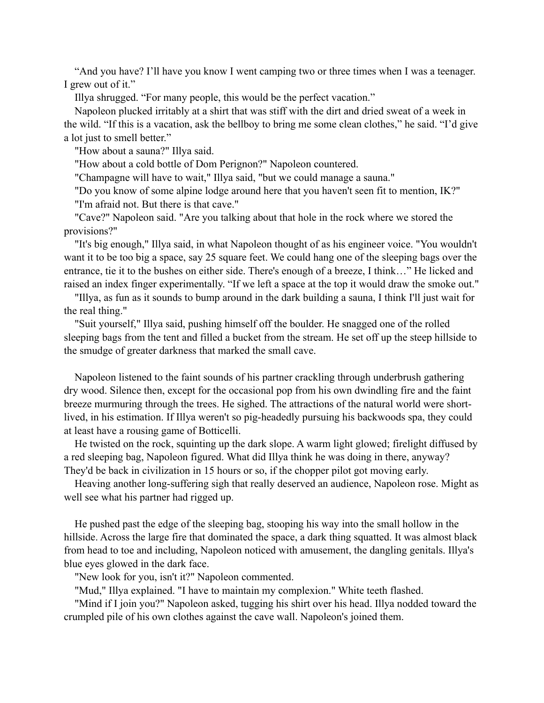"And you have? I'll have you know I went camping two or three times when I was a teenager. I grew out of it."

Illya shrugged. "For many people, this would be the perfect vacation."

 Napoleon plucked irritably at a shirt that was stiff with the dirt and dried sweat of a week in the wild. "If this is a vacation, ask the bellboy to bring me some clean clothes," he said. "I'd give a lot just to smell better."

"How about a sauna?" Illya said.

"How about a cold bottle of Dom Perignon?" Napoleon countered.

"Champagne will have to wait," Illya said, "but we could manage a sauna."

 "Do you know of some alpine lodge around here that you haven't seen fit to mention, IK?" "I'm afraid not. But there is that cave."

 "Cave?" Napoleon said. "Are you talking about that hole in the rock where we stored the provisions?"

 "It's big enough," Illya said, in what Napoleon thought of as his engineer voice. "You wouldn't want it to be too big a space, say 25 square feet. We could hang one of the sleeping bags over the entrance, tie it to the bushes on either side. There's enough of a breeze, I think…" He licked and raised an index finger experimentally. "If we left a space at the top it would draw the smoke out."

 "Illya, as fun as it sounds to bump around in the dark building a sauna, I think I'll just wait for the real thing."

 "Suit yourself," Illya said, pushing himself off the boulder. He snagged one of the rolled sleeping bags from the tent and filled a bucket from the stream. He set off up the steep hillside to the smudge of greater darkness that marked the small cave.

 Napoleon listened to the faint sounds of his partner crackling through underbrush gathering dry wood. Silence then, except for the occasional pop from his own dwindling fire and the faint breeze murmuring through the trees. He sighed. The attractions of the natural world were shortlived, in his estimation. If Illya weren't so pig-headedly pursuing his backwoods spa, they could at least have a rousing game of Botticelli.

 He twisted on the rock, squinting up the dark slope. A warm light glowed; firelight diffused by a red sleeping bag, Napoleon figured. What did Illya think he was doing in there, anyway? They'd be back in civilization in 15 hours or so, if the chopper pilot got moving early.

 Heaving another long-suffering sigh that really deserved an audience, Napoleon rose. Might as well see what his partner had rigged up.

 He pushed past the edge of the sleeping bag, stooping his way into the small hollow in the hillside. Across the large fire that dominated the space, a dark thing squatted. It was almost black from head to toe and including, Napoleon noticed with amusement, the dangling genitals. Illya's blue eyes glowed in the dark face.

"New look for you, isn't it?" Napoleon commented.

"Mud," Illya explained. "I have to maintain my complexion." White teeth flashed.

 "Mind if I join you?" Napoleon asked, tugging his shirt over his head. Illya nodded toward the crumpled pile of his own clothes against the cave wall. Napoleon's joined them.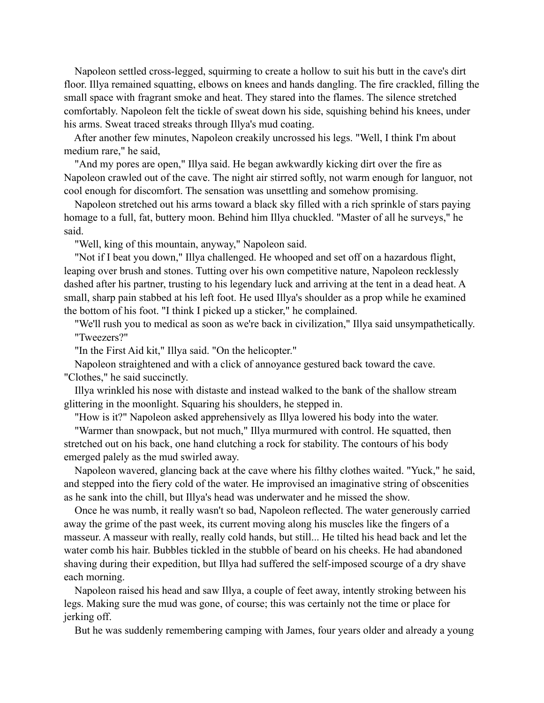Napoleon settled cross-legged, squirming to create a hollow to suit his butt in the cave's dirt floor. Illya remained squatting, elbows on knees and hands dangling. The fire crackled, filling the small space with fragrant smoke and heat. They stared into the flames. The silence stretched comfortably. Napoleon felt the tickle of sweat down his side, squishing behind his knees, under his arms. Sweat traced streaks through Illya's mud coating.

 After another few minutes, Napoleon creakily uncrossed his legs. "Well, I think I'm about medium rare," he said,

 "And my pores are open," Illya said. He began awkwardly kicking dirt over the fire as Napoleon crawled out of the cave. The night air stirred softly, not warm enough for languor, not cool enough for discomfort. The sensation was unsettling and somehow promising.

 Napoleon stretched out his arms toward a black sky filled with a rich sprinkle of stars paying homage to a full, fat, buttery moon. Behind him Illya chuckled. "Master of all he surveys," he said.

"Well, king of this mountain, anyway," Napoleon said.

 "Not if I beat you down," Illya challenged. He whooped and set off on a hazardous flight, leaping over brush and stones. Tutting over his own competitive nature, Napoleon recklessly dashed after his partner, trusting to his legendary luck and arriving at the tent in a dead heat. A small, sharp pain stabbed at his left foot. He used Illya's shoulder as a prop while he examined the bottom of his foot. "I think I picked up a sticker," he complained.

 "We'll rush you to medical as soon as we're back in civilization," Illya said unsympathetically. "Tweezers?"

"In the First Aid kit," Illya said. "On the helicopter."

 Napoleon straightened and with a click of annoyance gestured back toward the cave. "Clothes," he said succinctly.

 Illya wrinkled his nose with distaste and instead walked to the bank of the shallow stream glittering in the moonlight. Squaring his shoulders, he stepped in.

"How is it?" Napoleon asked apprehensively as Illya lowered his body into the water.

 "Warmer than snowpack, but not much," Illya murmured with control. He squatted, then stretched out on his back, one hand clutching a rock for stability. The contours of his body emerged palely as the mud swirled away.

 Napoleon wavered, glancing back at the cave where his filthy clothes waited. "Yuck," he said, and stepped into the fiery cold of the water. He improvised an imaginative string of obscenities as he sank into the chill, but Illya's head was underwater and he missed the show.

 Once he was numb, it really wasn't so bad, Napoleon reflected. The water generously carried away the grime of the past week, its current moving along his muscles like the fingers of a masseur. A masseur with really, really cold hands, but still... He tilted his head back and let the water comb his hair. Bubbles tickled in the stubble of beard on his cheeks. He had abandoned shaving during their expedition, but Illya had suffered the self-imposed scourge of a dry shave each morning.

 Napoleon raised his head and saw Illya, a couple of feet away, intently stroking between his legs. Making sure the mud was gone, of course; this was certainly not the time or place for jerking off.

But he was suddenly remembering camping with James, four years older and already a young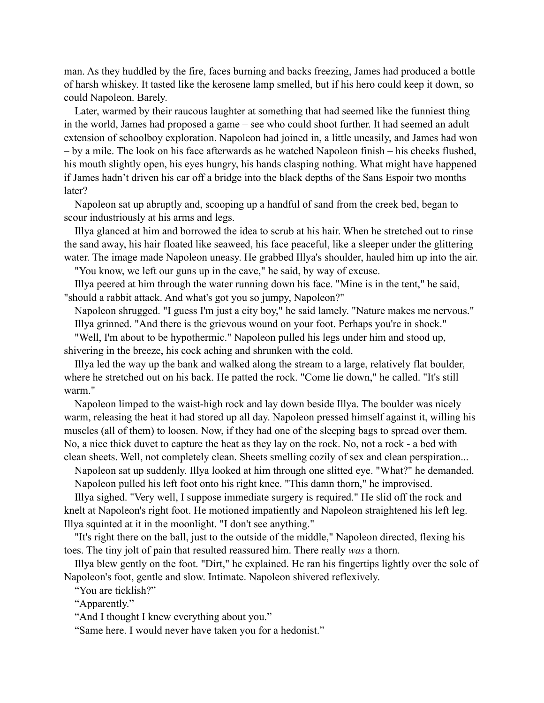man. As they huddled by the fire, faces burning and backs freezing, James had produced a bottle of harsh whiskey. It tasted like the kerosene lamp smelled, but if his hero could keep it down, so could Napoleon. Barely.

 Later, warmed by their raucous laughter at something that had seemed like the funniest thing in the world, James had proposed a game – see who could shoot further. It had seemed an adult extension of schoolboy exploration. Napoleon had joined in, a little uneasily, and James had won – by a mile. The look on his face afterwards as he watched Napoleon finish – his cheeks flushed, his mouth slightly open, his eyes hungry, his hands clasping nothing. What might have happened if James hadn't driven his car off a bridge into the black depths of the Sans Espoir two months later?

 Napoleon sat up abruptly and, scooping up a handful of sand from the creek bed, began to scour industriously at his arms and legs.

 Illya glanced at him and borrowed the idea to scrub at his hair. When he stretched out to rinse the sand away, his hair floated like seaweed, his face peaceful, like a sleeper under the glittering water. The image made Napoleon uneasy. He grabbed Illya's shoulder, hauled him up into the air.

"You know, we left our guns up in the cave," he said, by way of excuse.

 Illya peered at him through the water running down his face. "Mine is in the tent," he said, "should a rabbit attack. And what's got you so jumpy, Napoleon?"

 Napoleon shrugged. "I guess I'm just a city boy," he said lamely. "Nature makes me nervous." Illya grinned. "And there is the grievous wound on your foot. Perhaps you're in shock."

 "Well, I'm about to be hypothermic." Napoleon pulled his legs under him and stood up, shivering in the breeze, his cock aching and shrunken with the cold.

 Illya led the way up the bank and walked along the stream to a large, relatively flat boulder, where he stretched out on his back. He patted the rock. "Come lie down," he called. "It's still warm."

 Napoleon limped to the waist-high rock and lay down beside Illya. The boulder was nicely warm, releasing the heat it had stored up all day. Napoleon pressed himself against it, willing his muscles (all of them) to loosen. Now, if they had one of the sleeping bags to spread over them. No, a nice thick duvet to capture the heat as they lay on the rock. No, not a rock - a bed with clean sheets. Well, not completely clean. Sheets smelling cozily of sex and clean perspiration...

 Napoleon sat up suddenly. Illya looked at him through one slitted eye. "What?" he demanded. Napoleon pulled his left foot onto his right knee. "This damn thorn," he improvised.

 Illya sighed. "Very well, I suppose immediate surgery is required." He slid off the rock and knelt at Napoleon's right foot. He motioned impatiently and Napoleon straightened his left leg. Illya squinted at it in the moonlight. "I don't see anything."

 "It's right there on the ball, just to the outside of the middle," Napoleon directed, flexing his toes. The tiny jolt of pain that resulted reassured him. There really *was* a thorn.

 Illya blew gently on the foot. "Dirt," he explained. He ran his fingertips lightly over the sole of Napoleon's foot, gentle and slow. Intimate. Napoleon shivered reflexively.

"You are ticklish?"

"Apparently."

"And I thought I knew everything about you."

"Same here. I would never have taken you for a hedonist."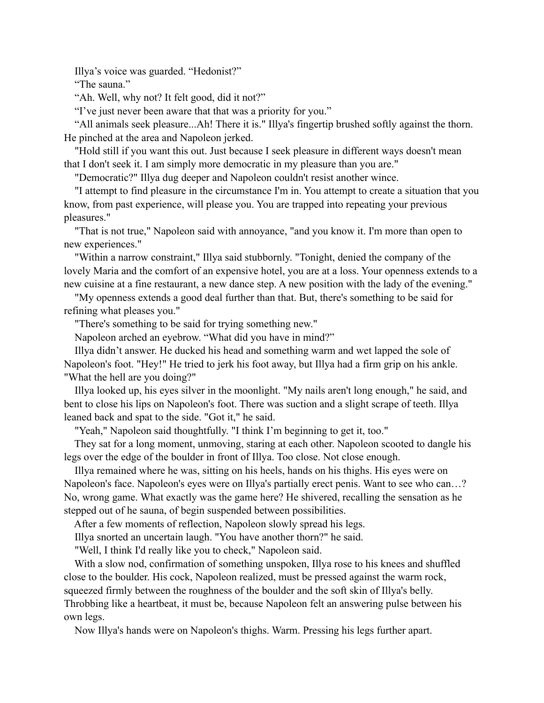Illya's voice was guarded. "Hedonist?"

"The sauna."

"Ah. Well, why not? It felt good, did it not?"

"I've just never been aware that that was a priority for you."

 "All animals seek pleasure...Ah! There it is." Illya's fingertip brushed softly against the thorn. He pinched at the area and Napoleon jerked.

 "Hold still if you want this out. Just because I seek pleasure in different ways doesn't mean that I don't seek it. I am simply more democratic in my pleasure than you are."

"Democratic?" Illya dug deeper and Napoleon couldn't resist another wince.

 "I attempt to find pleasure in the circumstance I'm in. You attempt to create a situation that you know, from past experience, will please you. You are trapped into repeating your previous pleasures."

 "That is not true," Napoleon said with annoyance, "and you know it. I'm more than open to new experiences."

 "Within a narrow constraint," Illya said stubbornly. "Tonight, denied the company of the lovely Maria and the comfort of an expensive hotel, you are at a loss. Your openness extends to a new cuisine at a fine restaurant, a new dance step. A new position with the lady of the evening."

 "My openness extends a good deal further than that. But, there's something to be said for refining what pleases you."

"There's something to be said for trying something new."

Napoleon arched an eyebrow. "What did you have in mind?"

 Illya didn't answer. He ducked his head and something warm and wet lapped the sole of Napoleon's foot. "Hey!" He tried to jerk his foot away, but Illya had a firm grip on his ankle. "What the hell are you doing?"

 Illya looked up, his eyes silver in the moonlight. "My nails aren't long enough," he said, and bent to close his lips on Napoleon's foot. There was suction and a slight scrape of teeth. Illya leaned back and spat to the side. "Got it," he said.

"Yeah," Napoleon said thoughtfully. "I think I'm beginning to get it, too."

 They sat for a long moment, unmoving, staring at each other. Napoleon scooted to dangle his legs over the edge of the boulder in front of Illya. Too close. Not close enough.

 Illya remained where he was, sitting on his heels, hands on his thighs. His eyes were on Napoleon's face. Napoleon's eyes were on Illya's partially erect penis. Want to see who can…? No, wrong game. What exactly was the game here? He shivered, recalling the sensation as he stepped out of he sauna, of begin suspended between possibilities.

After a few moments of reflection, Napoleon slowly spread his legs.

Illya snorted an uncertain laugh. "You have another thorn?" he said.

"Well, I think I'd really like you to check," Napoleon said.

 With a slow nod, confirmation of something unspoken, Illya rose to his knees and shuffled close to the boulder. His cock, Napoleon realized, must be pressed against the warm rock, squeezed firmly between the roughness of the boulder and the soft skin of Illya's belly. Throbbing like a heartbeat, it must be, because Napoleon felt an answering pulse between his own legs.

Now Illya's hands were on Napoleon's thighs. Warm. Pressing his legs further apart.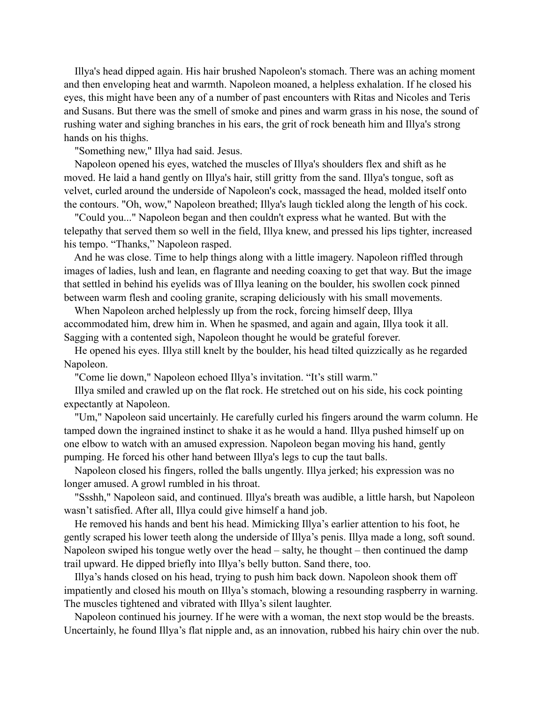Illya's head dipped again. His hair brushed Napoleon's stomach. There was an aching moment and then enveloping heat and warmth. Napoleon moaned, a helpless exhalation. If he closed his eyes, this might have been any of a number of past encounters with Ritas and Nicoles and Teris and Susans. But there was the smell of smoke and pines and warm grass in his nose, the sound of rushing water and sighing branches in his ears, the grit of rock beneath him and Illya's strong hands on his thighs.

"Something new," Illya had said. Jesus.

 Napoleon opened his eyes, watched the muscles of Illya's shoulders flex and shift as he moved. He laid a hand gently on Illya's hair, still gritty from the sand. Illya's tongue, soft as velvet, curled around the underside of Napoleon's cock, massaged the head, molded itself onto the contours. "Oh, wow," Napoleon breathed; Illya's laugh tickled along the length of his cock.

 "Could you..." Napoleon began and then couldn't express what he wanted. But with the telepathy that served them so well in the field, Illya knew, and pressed his lips tighter, increased his tempo. "Thanks," Napoleon rasped.

 And he was close. Time to help things along with a little imagery. Napoleon riffled through images of ladies, lush and lean, en flagrante and needing coaxing to get that way. But the image that settled in behind his eyelids was of Illya leaning on the boulder, his swollen cock pinned between warm flesh and cooling granite, scraping deliciously with his small movements.

 When Napoleon arched helplessly up from the rock, forcing himself deep, Illya accommodated him, drew him in. When he spasmed, and again and again, Illya took it all. Sagging with a contented sigh, Napoleon thought he would be grateful forever.

 He opened his eyes. Illya still knelt by the boulder, his head tilted quizzically as he regarded Napoleon.

"Come lie down," Napoleon echoed Illya's invitation. "It's still warm."

 Illya smiled and crawled up on the flat rock. He stretched out on his side, his cock pointing expectantly at Napoleon.

 "Um," Napoleon said uncertainly. He carefully curled his fingers around the warm column. He tamped down the ingrained instinct to shake it as he would a hand. Illya pushed himself up on one elbow to watch with an amused expression. Napoleon began moving his hand, gently pumping. He forced his other hand between Illya's legs to cup the taut balls.

 Napoleon closed his fingers, rolled the balls ungently. Illya jerked; his expression was no longer amused. A growl rumbled in his throat.

 "Ssshh," Napoleon said, and continued. Illya's breath was audible, a little harsh, but Napoleon wasn't satisfied. After all, Illya could give himself a hand job.

 He removed his hands and bent his head. Mimicking Illya's earlier attention to his foot, he gently scraped his lower teeth along the underside of Illya's penis. Illya made a long, soft sound. Napoleon swiped his tongue wetly over the head – salty, he thought – then continued the damp trail upward. He dipped briefly into Illya's belly button. Sand there, too.

 Illya's hands closed on his head, trying to push him back down. Napoleon shook them off impatiently and closed his mouth on Illya's stomach, blowing a resounding raspberry in warning. The muscles tightened and vibrated with Illya's silent laughter.

 Napoleon continued his journey. If he were with a woman, the next stop would be the breasts. Uncertainly, he found Illya's flat nipple and, as an innovation, rubbed his hairy chin over the nub.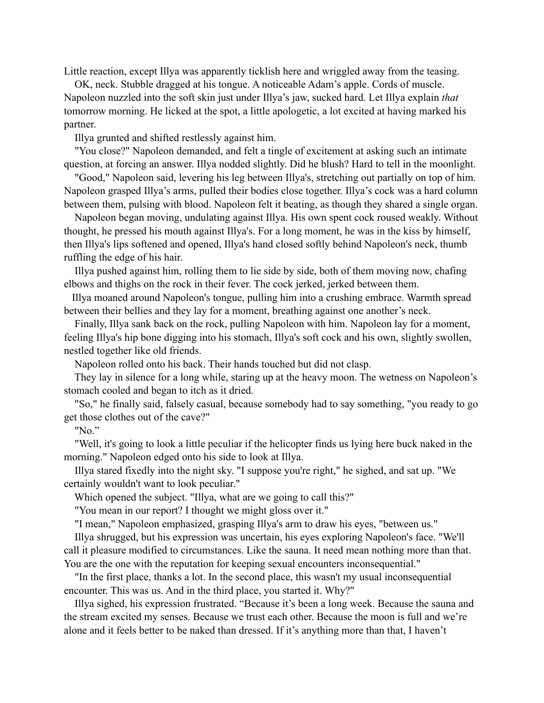Little reaction, except Illya was apparently ticklish here and wriggled away from the teasing.

 OK, neck. Stubble dragged at his tongue. A noticeable Adam's apple. Cords of muscle. Napoleon nuzzled into the soft skin just under Illya's jaw, sucked hard. Let Illya explain *that*  tomorrow morning. He licked at the spot, a little apologetic, a lot excited at having marked his partner.

Illya grunted and shifted restlessly against him.

 "You close?" Napoleon demanded, and felt a tingle of excitement at asking such an intimate question, at forcing an answer. Illya nodded slightly. Did he blush? Hard to tell in the moonlight.

 "Good," Napoleon said, levering his leg between Illya's, stretching out partially on top of him. Napoleon grasped Illya's arms, pulled their bodies close together. Illya's cock was a hard column between them, pulsing with blood. Napoleon felt it beating, as though they shared a single organ.

 Napoleon began moving, undulating against Illya. His own spent cock roused weakly. Without thought, he pressed his mouth against Illya's. For a long moment, he was in the kiss by himself, then Illya's lips softened and opened, Illya's hand closed softly behind Napoleon's neck, thumb ruffling the edge of his hair.

 Illya pushed against him, rolling them to lie side by side, both of them moving now, chafing elbows and thighs on the rock in their fever. The cock jerked, jerked between them.

 Illya moaned around Napoleon's tongue, pulling him into a crushing embrace. Warmth spread between their bellies and they lay for a moment, breathing against one another's neck.

 Finally, Illya sank back on the rock, pulling Napoleon with him. Napoleon lay for a moment, feeling Illya's hip bone digging into his stomach, Illya's soft cock and his own, slightly swollen, nestled together like old friends.

Napoleon rolled onto his back. Their hands touched but did not clasp.

 They lay in silence for a long while, staring up at the heavy moon. The wetness on Napoleon's stomach cooled and began to itch as it dried.

 "So," he finally said, falsely casual, because somebody had to say something, "you ready to go get those clothes out of the cave?"

"No."

 "Well, it's going to look a little peculiar if the helicopter finds us lying here buck naked in the morning." Napoleon edged onto his side to look at Illya.

 Illya stared fixedly into the night sky. "I suppose you're right," he sighed, and sat up. "We certainly wouldn't want to look peculiar."

Which opened the subject. "Illya, what are we going to call this?"

"You mean in our report? I thought we might gloss over it."

"I mean," Napoleon emphasized, grasping Illya's arm to draw his eyes, "between us."

 Illya shrugged, but his expression was uncertain, his eyes exploring Napoleon's face. "We'll call it pleasure modified to circumstances. Like the sauna. It need mean nothing more than that. You are the one with the reputation for keeping sexual encounters inconsequential."

 "In the first place, thanks a lot. In the second place, this wasn't my usual inconsequential encounter. This was us. And in the third place, you started it. Why?"

 Illya sighed, his expression frustrated. "Because it's been a long week. Because the sauna and the stream excited my senses. Because we trust each other. Because the moon is full and we're alone and it feels better to be naked than dressed. If it's anything more than that, I haven't